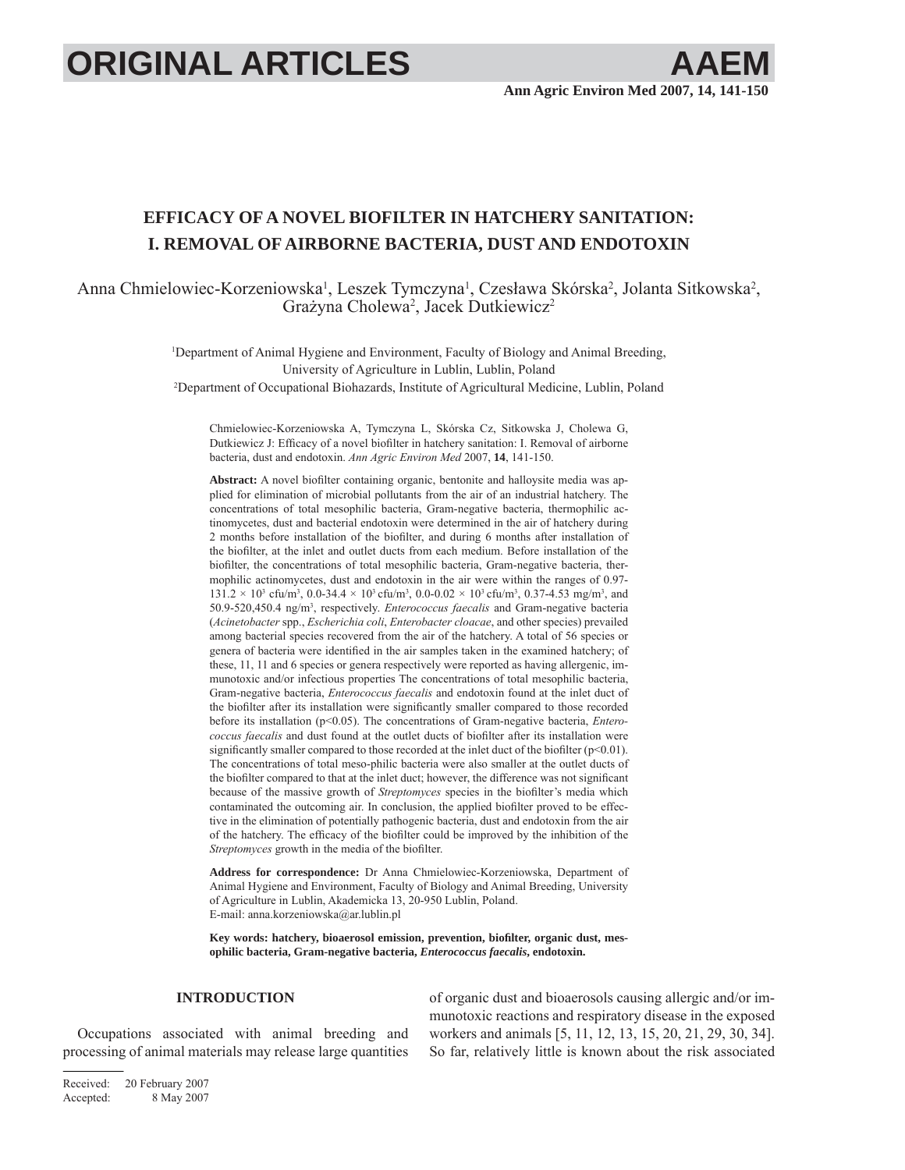# **ORIGINAL ARTICLES**

## **EFFICACY OF A NOVEL BIOFILTER IN HATCHERY SANITATION: I. REMOVAL OF AIRBORNE BACTERIA, DUST AND ENDOTOXIN**

Anna Chmielowiec-Korzeniowska<sup>1</sup>, Leszek Tymczyna<sup>1</sup>, Czesława Skórska<sup>2</sup>, Jolanta Sitkowska<sup>2</sup>, Grażyna Cholewa<sup>2</sup>, Jacek Dutkiewicz<sup>2</sup>

> 1 Department of Animal Hygiene and Environment, Faculty of Biology and Animal Breeding, University of Agriculture in Lublin, Lublin, Poland 2 Department of Occupational Biohazards, Institute of Agricultural Medicine, Lublin, Poland

Chmielowiec-Korzeniowska A, Tymczyna L, Skórska Cz, Sitkowska J, Cholewa G, Dutkiewicz J: Efficacy of a novel biofilter in hatchery sanitation: I. Removal of airborne bacteria, dust and endotoxin. *Ann Agric Environ Med* 2007, **14**, 141-150.

Abstract: A novel biofilter containing organic, bentonite and halloysite media was applied for elimination of microbial pollutants from the air of an industrial hatchery. The concentrations of total mesophilic bacteria, Gram-negative bacteria, thermophilic actinomycetes, dust and bacterial endotoxin were determined in the air of hatchery during 2 months before installation of the biofilter, and during 6 months after installation of the biofilter, at the inlet and outlet ducts from each medium. Before installation of the biofilter, the concentrations of total mesophilic bacteria, Gram-negative bacteria, thermophilic actinomycetes, dust and endotoxin in the air were within the ranges of 0.97-  $131.2 \times 10^3$  cfu/m<sup>3</sup>, 0.0-34.4  $\times$  10<sup>3</sup> cfu/m<sup>3</sup>, 0.0-0.02  $\times$  10<sup>3</sup> cfu/m<sup>3</sup>, 0.37-4.53 mg/m<sup>3</sup>, and 50.9-520,450.4 ng/m3 , respectively. *Enterococcus faecalis* and Gram-negative bacteria (*Acinetobacter* spp., *Escherichia coli*, *Enterobacter cloacae*, and other species) prevailed among bacterial species recovered from the air of the hatchery. A total of 56 species or genera of bacteria were identified in the air samples taken in the examined hatchery; of these, 11, 11 and 6 species or genera respectively were reported as having allergenic, immunotoxic and/or infectious properties The concentrations of total mesophilic bacteria, Gram-negative bacteria, *Enterococcus faecalis* and endotoxin found at the inlet duct of the biofilter after its installation were significantly smaller compared to those recorded before its installation (p<0.05). The concentrations of Gram-negative bacteria, *Enterococcus faecalis* and dust found at the outlet ducts of biofilter after its installation were significantly smaller compared to those recorded at the inlet duct of the biofilter ( $p<0.01$ ). The concentrations of total meso-philic bacteria were also smaller at the outlet ducts of the biofilter compared to that at the inlet duct; however, the difference was not significant because of the massive growth of *Streptomyces* species in the biofilter's media which contaminated the outcoming air. In conclusion, the applied biofilter proved to be effective in the elimination of potentially pathogenic bacteria, dust and endotoxin from the air of the hatchery. The efficacy of the biofilter could be improved by the inhibition of the *Streptomyces* growth in the media of the biofilter.

**Address for correspondence:** Dr Anna Chmielowiec-Korzeniowska, Department of Animal Hygiene and Environment, Faculty of Biology and Animal Breeding, University of Agriculture in Lublin, Akademicka 13, 20-950 Lublin, Poland. E-mail: anna.korzeniowska@ar.lublin.pl

Key words: hatchery, bioaerosol emission, prevention, biofilter, organic dust, mes**ophilic bacteria, Gram-negative bacteria,** *Enterococcus faecalis***, endotoxin.**

### **INTRODUCTION**

Occupations associated with animal breeding and processing of animal materials may release large quantities of organic dust and bioaerosols causing allergic and/or immunotoxic reactions and respiratory disease in the exposed workers and animals [5, 11, 12, 13, 15, 20, 21, 29, 30, 34]. So far, relatively little is known about the risk associated

Received: 20 February 2007 Accepted: 8 May 2007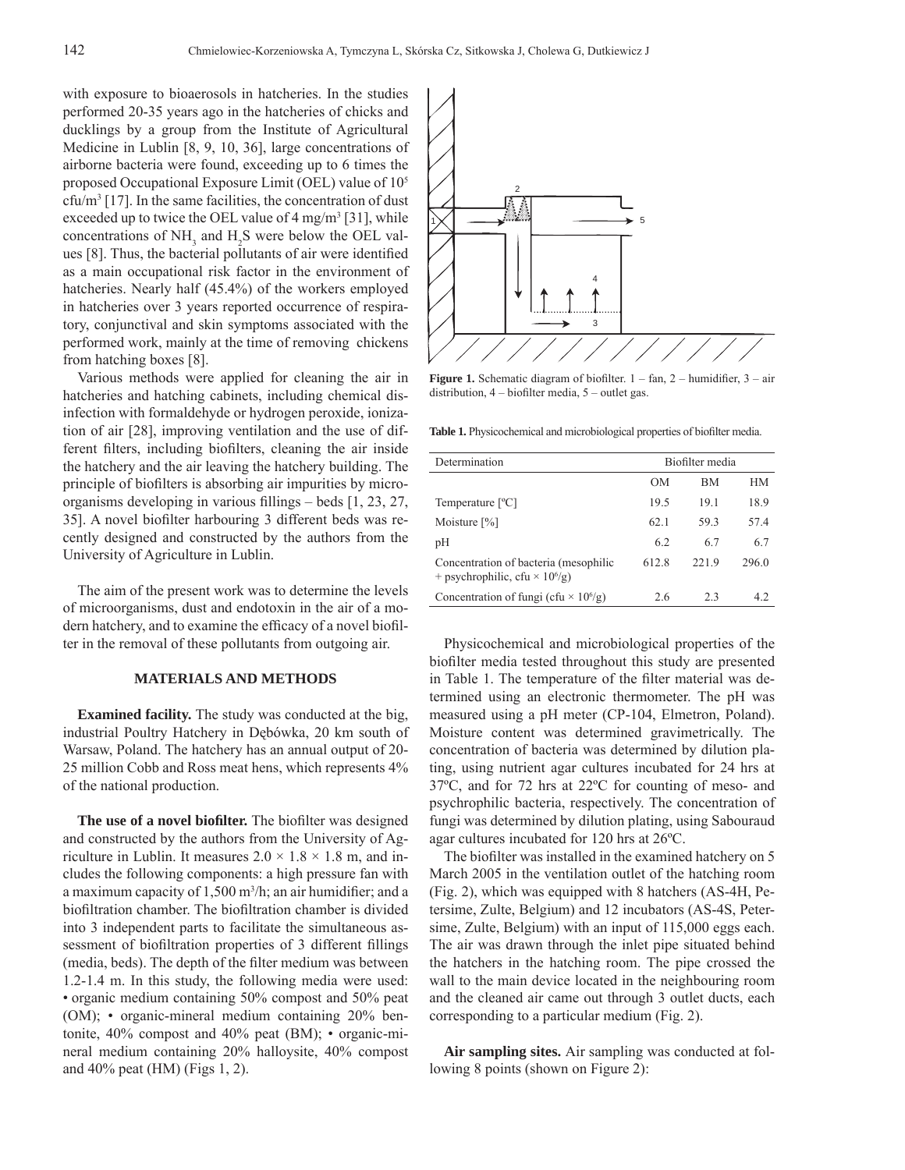with exposure to bioaerosols in hatcheries. In the studies performed 20-35 years ago in the hatcheries of chicks and ducklings by a group from the Institute of Agricultural Medicine in Lublin [8, 9, 10, 36], large concentrations of airborne bacteria were found, exceeding up to 6 times the proposed Occupational Exposure Limit (OEL) value of 105  $cfu/m^3$  [17]. In the same facilities, the concentration of dust exceeded up to twice the OEL value of  $4 \text{ mg/m}^3$  [31], while concentrations of  $NH_3$  and  $H_2S$  were below the OEL values [8]. Thus, the bacterial pollutants of air were identified as a main occupational risk factor in the environment of hatcheries. Nearly half (45.4%) of the workers employed in hatcheries over 3 years reported occurrence of respiratory, conjunctival and skin symptoms associated with the performed work, mainly at the time of removing chickens from hatching boxes [8].

Various methods were applied for cleaning the air in hatcheries and hatching cabinets, including chemical disinfection with formaldehyde or hydrogen peroxide, ionization of air [28], improving ventilation and the use of different filters, including biofilters, cleaning the air inside the hatchery and the air leaving the hatchery building. The principle of biofilters is absorbing air impurities by microorganisms developing in various fillings  $-$  beds  $[1, 23, 27,$ 35]. A novel biofilter harbouring 3 different beds was recently designed and constructed by the authors from the University of Agriculture in Lublin.

The aim of the present work was to determine the levels of microorganisms, dust and endotoxin in the air of a modern hatchery, and to examine the efficacy of a novel biofilter in the removal of these pollutants from outgoing air.

#### **MATERIALS AND METHODS**

**Examined facility.** The study was conducted at the big, industrial Poultry Hatchery in Dębówka, 20 km south of Warsaw, Poland. The hatchery has an annual output of 20- 25 million Cobb and Ross meat hens, which represents 4% of the national production.

**The use of a novel biofilter.** The biofilter was designed and constructed by the authors from the University of Agriculture in Lublin. It measures  $2.0 \times 1.8 \times 1.8$  m, and includes the following components: a high pressure fan with a maximum capacity of  $1,500$  m<sup>3</sup>/h; an air humidifier; and a biofiltration chamber. The biofiltration chamber is divided into 3 independent parts to facilitate the simultaneous assessment of biofiltration properties of 3 different fillings (media, beds). The depth of the filter medium was between 1.2-1.4 m. In this study, the following media were used: • organic medium containing 50% compost and 50% peat (OM); • organic-mineral medium containing 20% bentonite, 40% compost and 40% peat (BM); • organic-mineral medium containing 20% halloysite, 40% compost and 40% peat (HM) (Figs 1, 2).



**Figure 1.** Schematic diagram of biofilter.  $1 - \tan 2 -$  humidifier,  $3 - \text{air}$ distribution,  $4$  – biofilter media,  $5$  – outlet gas.

Table 1. Physicochemical and microbiological properties of biofilter media.

| Determination                                                                              | Biofilter media |       |       |  |  |
|--------------------------------------------------------------------------------------------|-----------------|-------|-------|--|--|
|                                                                                            | OМ              | ВM    | HМ    |  |  |
| Temperature [°C]                                                                           | 19.5            | 19.1  | 18.9  |  |  |
| Moisture $[\%]$                                                                            | 62.1            | 59.3  | 57.4  |  |  |
| pH                                                                                         | 6.2             | 6.7   | 6.7   |  |  |
| Concentration of bacteria (mesophilic<br>+ psychrophilic, cfu $\times$ 10 <sup>6</sup> /g) | 612.8           | 221.9 | 296.0 |  |  |
| Concentration of fungi (cfu $\times$ 10 <sup>6</sup> /g)                                   | 2.6             | 2.3   | 42    |  |  |

Physicochemical and microbiological properties of the biofilter media tested throughout this study are presented in Table 1. The temperature of the filter material was determined using an electronic thermometer. The pH was measured using a pH meter (CP-104, Elmetron, Poland). Moisture content was determined gravimetrically. The concentration of bacteria was determined by dilution plating, using nutrient agar cultures incubated for 24 hrs at 37ºC, and for 72 hrs at 22ºC for counting of meso- and psychrophilic bacteria, respectively. The concentration of fungi was determined by dilution plating, using Sabouraud agar cultures incubated for 120 hrs at 26ºC.

The biofilter was installed in the examined hatchery on 5 March 2005 in the ventilation outlet of the hatching room (Fig. 2), which was equipped with 8 hatchers (AS-4H, Petersime, Zulte, Belgium) and 12 incubators (AS-4S, Petersime, Zulte, Belgium) with an input of 115,000 eggs each. The air was drawn through the inlet pipe situated behind the hatchers in the hatching room. The pipe crossed the wall to the main device located in the neighbouring room and the cleaned air came out through 3 outlet ducts, each corresponding to a particular medium (Fig. 2).

**Air sampling sites.** Air sampling was conducted at following 8 points (shown on Figure 2):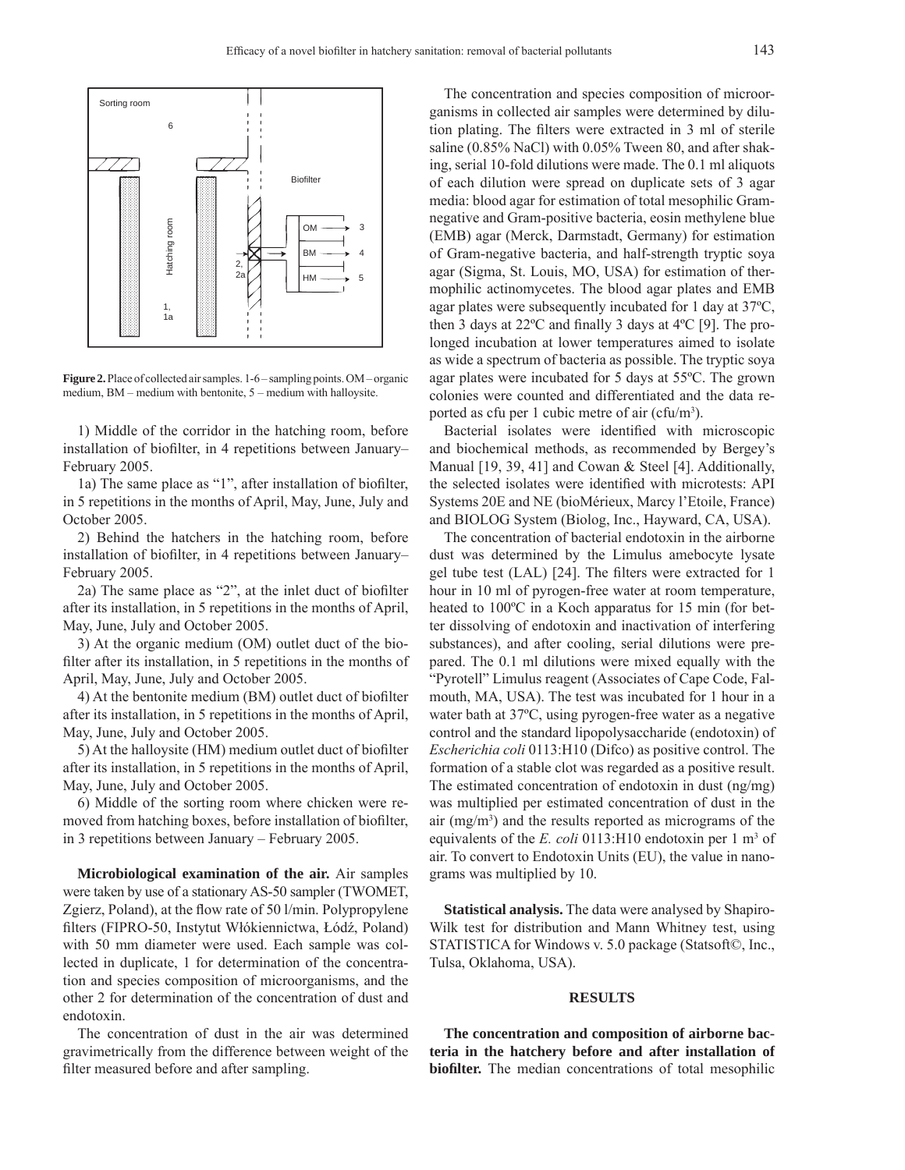

**Figure 2.** Place of collected air samples. 1-6 – sampling points. OM – organic medium, BM – medium with bentonite, 5 – medium with halloysite.

1) Middle of the corridor in the hatching room, before installation of biofilter, in 4 repetitions between January– February 2005.

1a) The same place as "1", after installation of biofilter, in 5 repetitions in the months of April, May, June, July and October 2005.

2) Behind the hatchers in the hatching room, before installation of biofilter, in 4 repetitions between January-February 2005.

2a) The same place as " $2$ ", at the inlet duct of biofilter after its installation, in 5 repetitions in the months of April, May, June, July and October 2005.

3) At the organic medium (OM) outlet duct of the biofilter after its installation, in 5 repetitions in the months of April, May, June, July and October 2005.

4) At the bentonite medium (BM) outlet duct of biofilter after its installation, in 5 repetitions in the months of April, May, June, July and October 2005.

5) At the halloysite (HM) medium outlet duct of biofilter after its installation, in 5 repetitions in the months of April, May, June, July and October 2005.

6) Middle of the sorting room where chicken were removed from hatching boxes, before installation of biofilter, in 3 repetitions between January – February 2005.

**Microbiological examination of the air.** Air samples were taken by use of a stationary AS-50 sampler (TWOMET, Zgierz, Poland), at the flow rate of 50 l/min. Polypropylene filters (FIPRO-50, Instytut Włókiennictwa, Łódź, Poland) with 50 mm diameter were used. Each sample was collected in duplicate, 1 for determination of the concentration and species composition of microorganisms, and the other 2 for determination of the concentration of dust and endotoxin.

The concentration of dust in the air was determined gravimetrically from the difference between weight of the filter measured before and after sampling.

The concentration and species composition of microorganisms in collected air samples were determined by dilution plating. The filters were extracted in 3 ml of sterile saline (0.85% NaCl) with 0.05% Tween 80, and after shaking, serial 10-fold dilutions were made. The 0.1 ml aliquots of each dilution were spread on duplicate sets of 3 agar media: blood agar for estimation of total mesophilic Gramnegative and Gram-positive bacteria, eosin methylene blue (EMB) agar (Merck, Darmstadt, Germany) for estimation of Gram-negative bacteria, and half-strength tryptic soya agar (Sigma, St. Louis, MO, USA) for estimation of thermophilic actinomycetes. The blood agar plates and EMB agar plates were subsequently incubated for 1 day at 37ºC, then 3 days at  $22^{\circ}$ C and finally 3 days at  $4^{\circ}$ C [9]. The prolonged incubation at lower temperatures aimed to isolate as wide a spectrum of bacteria as possible. The tryptic soya agar plates were incubated for 5 days at 55ºC. The grown colonies were counted and differentiated and the data reported as cfu per 1 cubic metre of air (cfu/m<sup>3</sup>).

Bacterial isolates were identified with microscopic and biochemical methods, as recommended by Bergey's Manual [19, 39, 41] and Cowan & Steel [4]. Additionally, the selected isolates were identified with microtests: API Systems 20E and NE (bioMérieux, Marcy l'Etoile, France) and BIOLOG System (Biolog, Inc., Hayward, CA, USA).

The concentration of bacterial endotoxin in the airborne dust was determined by the Limulus amebocyte lysate gel tube test (LAL) [24]. The filters were extracted for 1 hour in 10 ml of pyrogen-free water at room temperature, heated to 100ºC in a Koch apparatus for 15 min (for better dissolving of endotoxin and inactivation of interfering substances), and after cooling, serial dilutions were prepared. The 0.1 ml dilutions were mixed equally with the "Pyrotell" Limulus reagent (Associates of Cape Code, Falmouth, MA, USA). The test was incubated for 1 hour in a water bath at 37ºC, using pyrogen-free water as a negative control and the standard lipopolysaccharide (endotoxin) of *Escherichia coli* 0113:H10 (Difco) as positive control. The formation of a stable clot was regarded as a positive result. The estimated concentration of endotoxin in dust (ng/mg) was multiplied per estimated concentration of dust in the air (mg/m3 ) and the results reported as micrograms of the equivalents of the  $E$ . *coli* 0113:H10 endotoxin per 1 m<sup>3</sup> of air. To convert to Endotoxin Units (EU), the value in nanograms was multiplied by 10.

**Statistical analysis.** The data were analysed by Shapiro-Wilk test for distribution and Mann Whitney test, using STATISTICA for Windows v. 5.0 package (Statsoft©, Inc., Tulsa, Oklahoma, USA).

#### **RESULTS**

**The concentration and composition of airborne bacteria in the hatchery before and after installation of biofilter.** The median concentrations of total mesophilic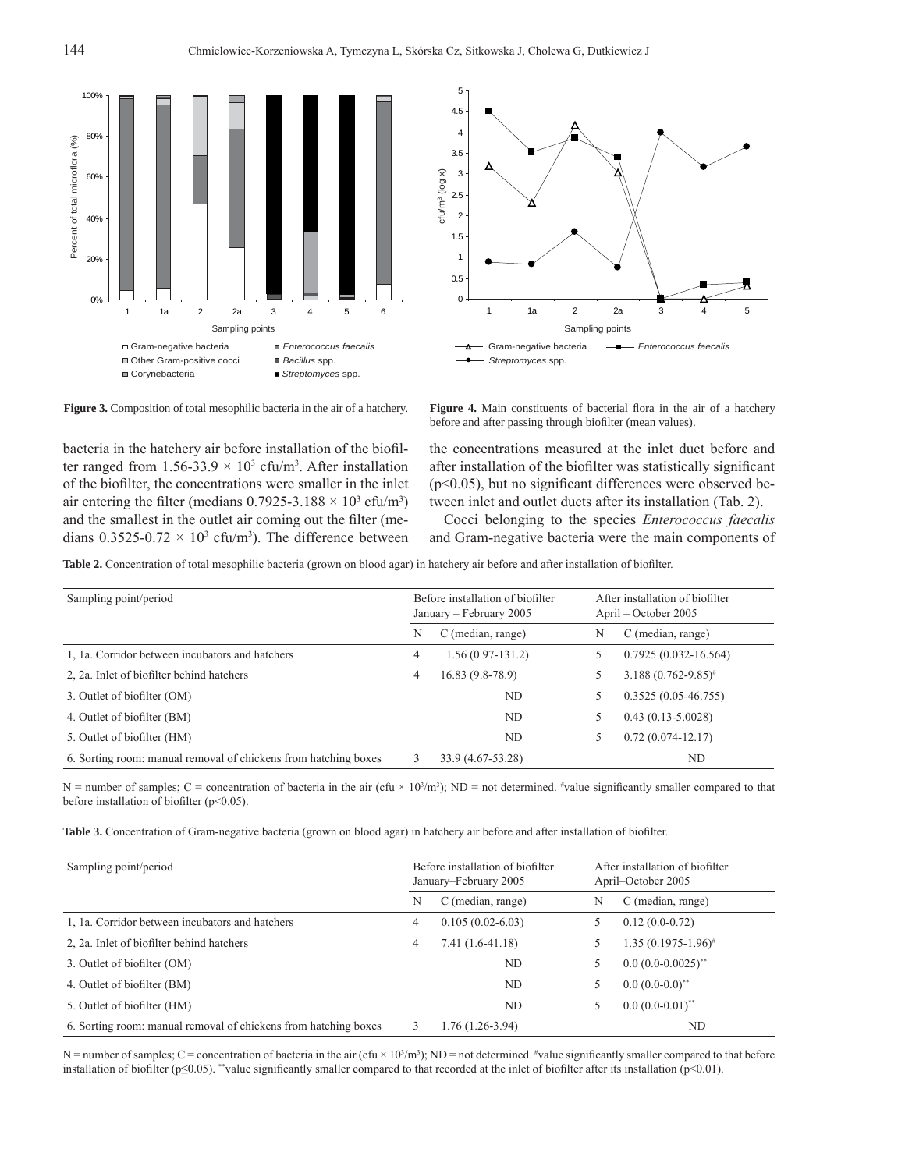



**Figure 3.** Composition of total mesophilic bacteria in the air of a hatchery. **Figure 4.** Main constituents of bacterial flora in the air of a hatchery

bacteria in the hatchery air before installation of the biofilter ranged from  $1.56 - 33.9 \times 10^3$  cfu/m<sup>3</sup>. After installation of the biofilter, the concentrations were smaller in the inlet air entering the filter (medians  $0.7925 - 3.188 \times 10^3$  cfu/m<sup>3</sup>) and the smallest in the outlet air coming out the filter (medians  $0.3525 - 0.72 \times 10^3$  cfu/m<sup>3</sup>). The difference between

before and after passing through biofilter (mean values).

the concentrations measured at the inlet duct before and after installation of the biofilter was statistically significant  $(p<0.05)$ , but no significant differences were observed between inlet and outlet ducts after its installation (Tab. 2).

Cocci belonging to the species *Enterococcus faecalis* and Gram-negative bacteria were the main components of

Table 2. Concentration of total mesophilic bacteria (grown on blood agar) in hatchery air before and after installation of biofilter.

| Sampling point/period                                           | Before installation of biofilter<br>January – February 2005 |                    | After installation of biofilter<br>April – October 2005 |                            |  |
|-----------------------------------------------------------------|-------------------------------------------------------------|--------------------|---------------------------------------------------------|----------------------------|--|
|                                                                 | N                                                           | C (median, range)  | N                                                       | C (median, range)          |  |
| 1, 1a. Corridor between incubators and hatchers                 | 4                                                           | $1.56(0.97-131.2)$ |                                                         | $0.7925(0.032 - 16.564)$   |  |
| 2, 2a. Inlet of biofilter behind hatchers                       | 4                                                           | $16.83(9.8-78.9)$  |                                                         | $3.188(0.762 - 9.85)^{\#}$ |  |
| 3. Outlet of biofilter (OM)                                     |                                                             | ND                 |                                                         | $0.3525(0.05-46.755)$      |  |
| 4. Outlet of biofilter (BM)                                     |                                                             | ND.                |                                                         | $0.43(0.13 - 5.0028)$      |  |
| 5. Outlet of biofilter (HM)                                     |                                                             | ND                 | 5                                                       | $0.72(0.074-12.17)$        |  |
| 6. Sorting room: manual removal of chickens from hatching boxes |                                                             | 33.9 (4.67-53.28)  |                                                         | ND                         |  |

 $N =$  number of samples;  $C =$  concentration of bacteria in the air (cfu  $\times$  10<sup>3</sup>/m<sup>3</sup>); ND = not determined. <sup>#</sup>value significantly smaller compared to that before installation of biofilter ( $p$ <0.05).

**Table 3.** Concentration of Gram-negative bacteria (grown on blood agar) in hatchery air before and after installation of biofilter.

| Sampling point/period                                           | Before installation of biofilter<br>January-February 2005 |                    | After installation of biofilter<br>April-October 2005 |                           |  |
|-----------------------------------------------------------------|-----------------------------------------------------------|--------------------|-------------------------------------------------------|---------------------------|--|
|                                                                 | N                                                         | C (median, range)  | N                                                     | C (median, range)         |  |
| 1, 1a. Corridor between incubators and hatchers                 | 4                                                         | $0.105(0.02-6.03)$ |                                                       | $0.12(0.0-0.72)$          |  |
| 2, 2a. Inlet of biofilter behind hatchers                       | 4                                                         | $7.41(1.6-41.18)$  |                                                       | $1.35(0.1975-1.96)^{\#}$  |  |
| 3. Outlet of biofilter (OM)                                     |                                                           | ND                 |                                                       | $0.0 (0.0 - 0.0025)^{**}$ |  |
| 4. Outlet of biofilter (BM)                                     |                                                           | ND                 |                                                       | $0.0(0.0-0.0)^{**}$       |  |
| 5. Outlet of biofilter (HM)                                     |                                                           | ND                 |                                                       | $0.0 (0.0 - 0.01)^{**}$   |  |
| 6. Sorting room: manual removal of chickens from hatching boxes |                                                           | $1.76(1.26-3.94)$  |                                                       | ND                        |  |

N = number of samples; C = concentration of bacteria in the air (cfu  $\times$  10<sup>3</sup>/m<sup>3</sup>); ND = not determined. <sup>#</sup>value significantly smaller compared to that before installation of biofilter (p≤0.05). \*\*value significantly smaller compared to that recorded at the inlet of biofilter after its installation (p<0.01).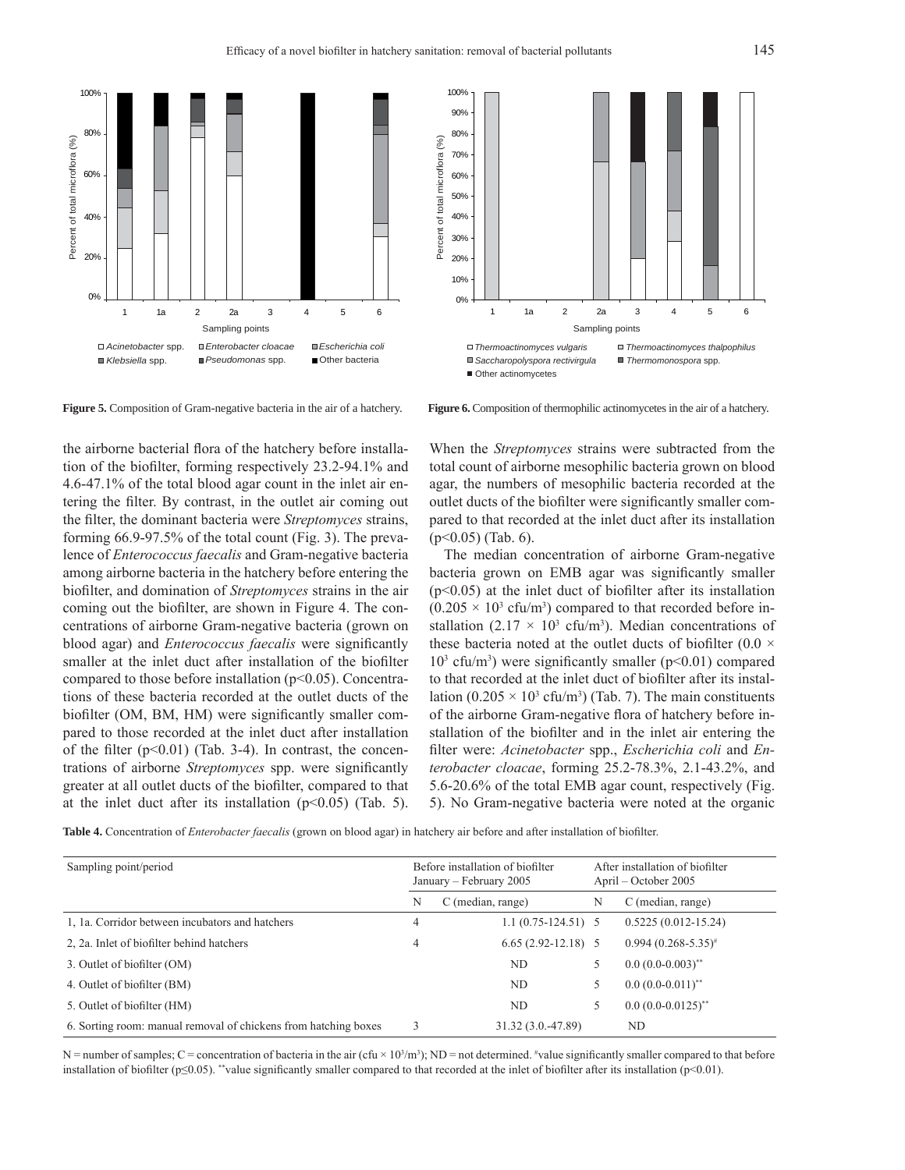



**Figure 5.** Composition of Gram-negative bacteria in the air of a hatchery. **Figure 6.** Composition of thermophilic actinomycetes in the air of a hatchery.

the airborne bacterial flora of the hatchery before installation of the biofilter, forming respectively 23.2-94.1% and 4.6-47.1% of the total blood agar count in the inlet air entering the filter. By contrast, in the outlet air coming out the filter, the dominant bacteria were *Streptomyces* strains, forming 66.9-97.5% of the total count (Fig. 3). The prevalence of *Enterococcus faecalis* and Gram-negative bacteria among airborne bacteria in the hatchery before entering the biofilter, and domination of *Streptomyces* strains in the air coming out the biofilter, are shown in Figure 4. The concentrations of airborne Gram-negative bacteria (grown on blood agar) and *Enterococcus faecalis* were significantly smaller at the inlet duct after installation of the biofilter compared to those before installation (p<0.05). Concentrations of these bacteria recorded at the outlet ducts of the biofilter (OM, BM, HM) were significantly smaller compared to those recorded at the inlet duct after installation of the filter  $(p<0.01)$  (Tab. 3-4). In contrast, the concentrations of airborne *Streptomyces* spp. were significantly greater at all outlet ducts of the biofilter, compared to that at the inlet duct after its installation  $(p<0.05)$  (Tab. 5).

When the *Streptomyces* strains were subtracted from the total count of airborne mesophilic bacteria grown on blood agar, the numbers of mesophilic bacteria recorded at the outlet ducts of the biofilter were significantly smaller compared to that recorded at the inlet duct after its installation  $(p<0.05)$  (Tab. 6).

The median concentration of airborne Gram-negative bacteria grown on EMB agar was significantly smaller  $(p<0.05)$  at the inlet duct of biofilter after its installation  $(0.205 \times 10^3 \text{ cfta/m}^3)$  compared to that recorded before installation  $(2.17 \times 10^3 \text{ cfts/m}^3)$ . Median concentrations of these bacteria noted at the outlet ducts of biofilter (0.0  $\times$  $10<sup>3</sup>$  cfu/m<sup>3</sup>) were significantly smaller (p<0.01) compared to that recorded at the inlet duct of biofilter after its installation  $(0.205 \times 10^3 \text{ cft/m}^3)$  (Tab. 7). The main constituents of the airborne Gram-negative flora of hatchery before installation of the biofilter and in the inlet air entering the filter were: *Acinetobacter* spp., *Escherichia coli* and *Enterobacter cloacae*, forming 25.2-78.3%, 2.1-43.2%, and 5.6-20.6% of the total EMB agar count, respectively (Fig. 5). No Gram-negative bacteria were noted at the organic

Table 4. Concentration of *Enterobacter faecalis* (grown on blood agar) in hatchery air before and after installation of biofilter.

| Sampling point/period                                           | Before installation of biofilter<br>January – February 2005 |                      |   | After installation of biofilter<br>April – October 2005 |
|-----------------------------------------------------------------|-------------------------------------------------------------|----------------------|---|---------------------------------------------------------|
|                                                                 | N                                                           | C (median, range)    | N | C (median, range)                                       |
| 1, 1a. Corridor between incubators and hatchers                 | 4                                                           | $1.1(0.75-124.51)$ 5 |   | $0.5225(0.012 - 15.24)$                                 |
| 2, 2a. Inlet of biofilter behind hatchers                       | 4                                                           | $6.65(2.92-12.18)$ 5 |   | $0.994(0.268 - 5.35)^{*}$                               |
| 3. Outlet of biofilter (OM)                                     |                                                             | ND                   |   | $0.0 (0.0 - 0.003)^{**}$                                |
| 4. Outlet of biofilter (BM)                                     |                                                             | ND.                  |   | $0.0 (0.0 - 0.011)^{**}$                                |
| 5. Outlet of biofilter (HM)                                     |                                                             | ND                   |   | $0.0 (0.0 - 0.0125)^{**}$                               |
| 6. Sorting room: manual removal of chickens from hatching boxes |                                                             | 31.32 (3.0.-47.89)   |   | ND                                                      |

 $N =$  number of samples;  $C =$  concentration of bacteria in the air (cfu  $\times$  10<sup>3</sup>/m<sup>3</sup>); ND = not determined. #value significantly smaller compared to that before installation of biofilter (p≤0.05). \*\*value significantly smaller compared to that recorded at the inlet of biofilter after its installation (p<0.01).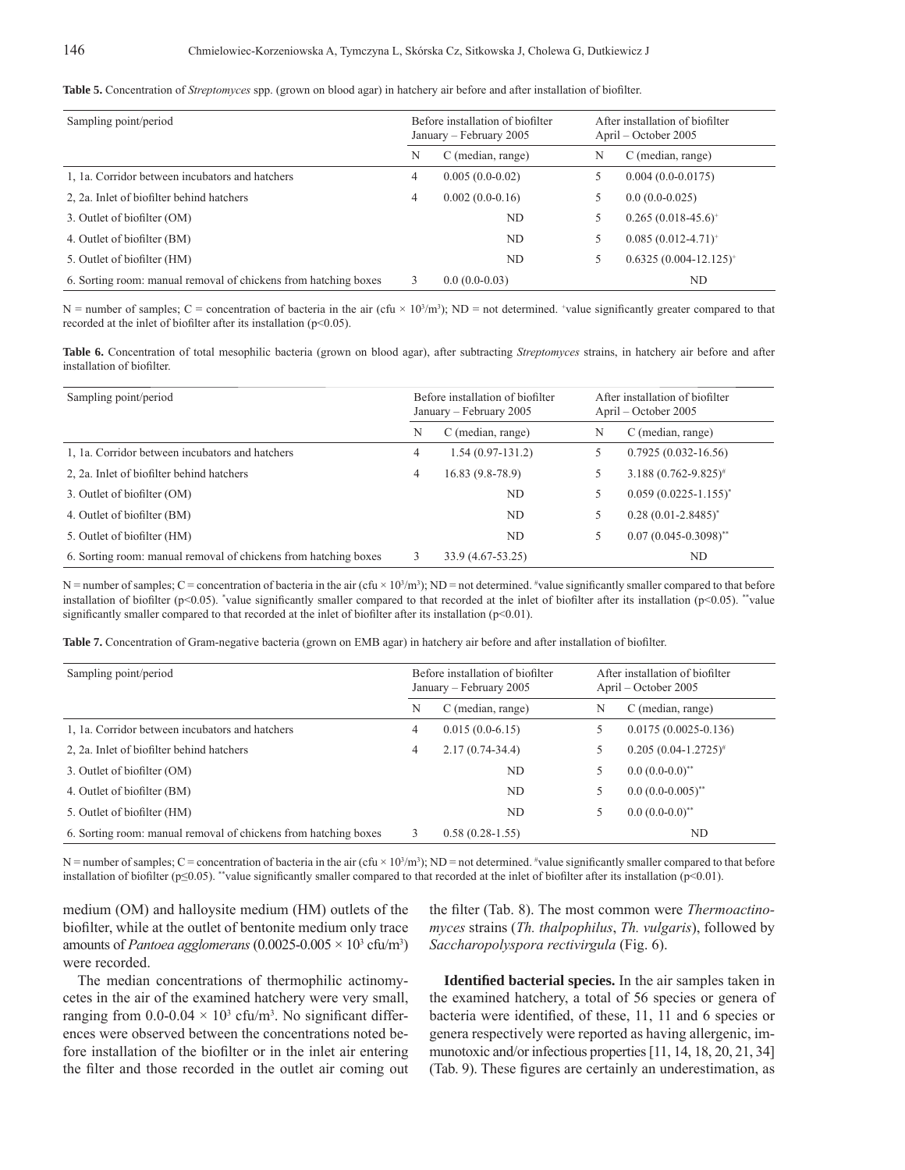|  |  |  |  |  | Table 5. Concentration of Streptomyces spp. (grown on blood agar) in hatchery air before and after installation of biofilter |
|--|--|--|--|--|------------------------------------------------------------------------------------------------------------------------------|
|--|--|--|--|--|------------------------------------------------------------------------------------------------------------------------------|

| Sampling point/period                                           | Before installation of biofilter<br>January – February 2005 |                   | After installation of biofilter<br>April – October 2005 |                            |
|-----------------------------------------------------------------|-------------------------------------------------------------|-------------------|---------------------------------------------------------|----------------------------|
|                                                                 | N                                                           | C (median, range) | N                                                       | C (median, range)          |
| 1, 1a. Corridor between incubators and hatchers                 | 4                                                           | $0.005(0.0-0.02)$ | C                                                       | $0.004(0.0-0.0175)$        |
| 2, 2a. Inlet of biofilter behind hatchers                       | 4                                                           | $0.002(0.0-0.16)$ | C                                                       | $0.0(0.0-0.025)$           |
| 3. Outlet of biofilter (OM)                                     |                                                             | ND.               | 5                                                       | $0.265(0.018-45.6)^+$      |
| 4. Outlet of biofilter (BM)                                     |                                                             | ND.               | 5                                                       | $0.085(0.012-4.71)^{+}$    |
| 5. Outlet of biofilter (HM)                                     |                                                             | ND                | 5                                                       | $0.6325(0.004-12.125)^{+}$ |
| 6. Sorting room: manual removal of chickens from hatching boxes |                                                             | $0.0(0.0-0.03)$   |                                                         | ND                         |

 $N =$  number of samples;  $C =$  concentration of bacteria in the air (cfu  $\times$  10<sup>3</sup>/m<sup>3</sup>); ND = not determined. \*value significantly greater compared to that recorded at the inlet of biofilter after its installation ( $p<0.05$ ).

**Table 6.** Concentration of total mesophilic bacteria (grown on blood agar), after subtracting *Streptomyces* strains, in hatchery air before and after installation of biofilter.

| Sampling point/period                                           | Before installation of biofilter<br>January – February 2005 |                    |   | After installation of biofilter<br>April – October 2005 |
|-----------------------------------------------------------------|-------------------------------------------------------------|--------------------|---|---------------------------------------------------------|
|                                                                 | N                                                           | C (median, range)  | N | C (median, range)                                       |
| 1, 1a. Corridor between incubators and hatchers                 | 4                                                           | $1.54(0.97-131.2)$ | C | $0.7925(0.032 - 16.56)$                                 |
| 2, 2a. Inlet of biofilter behind hatchers                       | 4                                                           | $16.83(9.8-78.9)$  | 5 | $3.188(0.762 - 9.825)^{\#}$                             |
| 3. Outlet of biofilter (OM)                                     |                                                             | ND                 |   | $0.059(0.0225 - 1.155)^*$                               |
| 4. Outlet of biofilter (BM)                                     |                                                             | N <sub>D</sub>     | 5 | $0.28(0.01 - 2.8485)^{*}$                               |
| 5. Outlet of biofilter (HM)                                     |                                                             | ND                 | 5 | $0.07(0.045 - 0.3098)^{**}$                             |
| 6. Sorting room: manual removal of chickens from hatching boxes |                                                             | 33.9 (4.67-53.25)  |   | ND                                                      |

N = number of samples; C = concentration of bacteria in the air (cfu  $\times$  10<sup>3</sup>/m<sup>3</sup>); ND = not determined. <sup>#</sup>value significantly smaller compared to that before installation of biofilter ( $p<0.05$ ). \*value significantly smaller compared to that recorded at the inlet of biofilter after its installation ( $p<0.05$ ). \*value significantly smaller compared to that recorded at the inlet of biofilter after its installation ( $p<0.01$ ).

Table 7. Concentration of Gram-negative bacteria (grown on EMB agar) in hatchery air before and after installation of biofilter.

| Sampling point/period                                           | Before installation of biofilter<br>January – February 2005 |                     | After installation of biofilter<br>April – October 2005 |                          |
|-----------------------------------------------------------------|-------------------------------------------------------------|---------------------|---------------------------------------------------------|--------------------------|
|                                                                 | N                                                           | C (median, range)   | N                                                       | C (median, range)        |
| 1, 1a. Corridor between incubators and hatchers                 | 4                                                           | $0.015(0.0-6.15)$   |                                                         | $0.0175(0.0025-0.136)$   |
| 2, 2a. Inlet of biofilter behind hatchers                       | 4                                                           | $2.17(0.74 - 34.4)$ |                                                         | $0.205(0.04-1.2725)^{*}$ |
| 3. Outlet of biofilter (OM)                                     |                                                             | ND                  | 5                                                       | $0.0(0.0-0.0)^{**}$      |
| 4. Outlet of biofilter (BM)                                     |                                                             | ND.                 | 5                                                       | $0.0 (0.0 - 0.005)^{**}$ |
| 5. Outlet of biofilter (HM)                                     |                                                             | ND                  | 5                                                       | $0.0(0.0-0.0)^{**}$      |
| 6. Sorting room: manual removal of chickens from hatching boxes |                                                             | $0.58(0.28-1.55)$   |                                                         | ND                       |

 $N =$  number of samples;  $C =$  concentration of bacteria in the air (cfu  $\times$  10<sup>3</sup>/m<sup>3</sup>); ND = not determined. #value significantly smaller compared to that before installation of biofilter ( $p \le 0.05$ ). \*\*value significantly smaller compared to that recorded at the inlet of biofilter after its installation ( $p \le 0.01$ ).

medium (OM) and halloysite medium (HM) outlets of the biofilter, while at the outlet of bentonite medium only trace amounts of *Pantoea agglomerans*  $(0.0025 - 0.005 \times 10^3 \text{ cftu/m}^3)$ were recorded.

The median concentrations of thermophilic actinomycetes in the air of the examined hatchery were very small, ranging from  $0.0\n-0.04 \times 10^3$  cfu/m<sup>3</sup>. No significant differences were observed between the concentrations noted before installation of the biofilter or in the inlet air entering the filter and those recorded in the outlet air coming out

the filter (Tab. 8). The most common were *Thermoactinomyces* strains (*Th. thalpophilus*, *Th. vulgaris*), followed by *Saccharopolyspora rectivirgula* (Fig. 6).

**Identified bacterial species.** In the air samples taken in the examined hatchery, a total of 56 species or genera of bacteria were identified, of these, 11, 11 and 6 species or genera respectively were reported as having allergenic, immunotoxic and/or infectious properties [11, 14, 18, 20, 21, 34] (Tab. 9). These figures are certainly an underestimation, as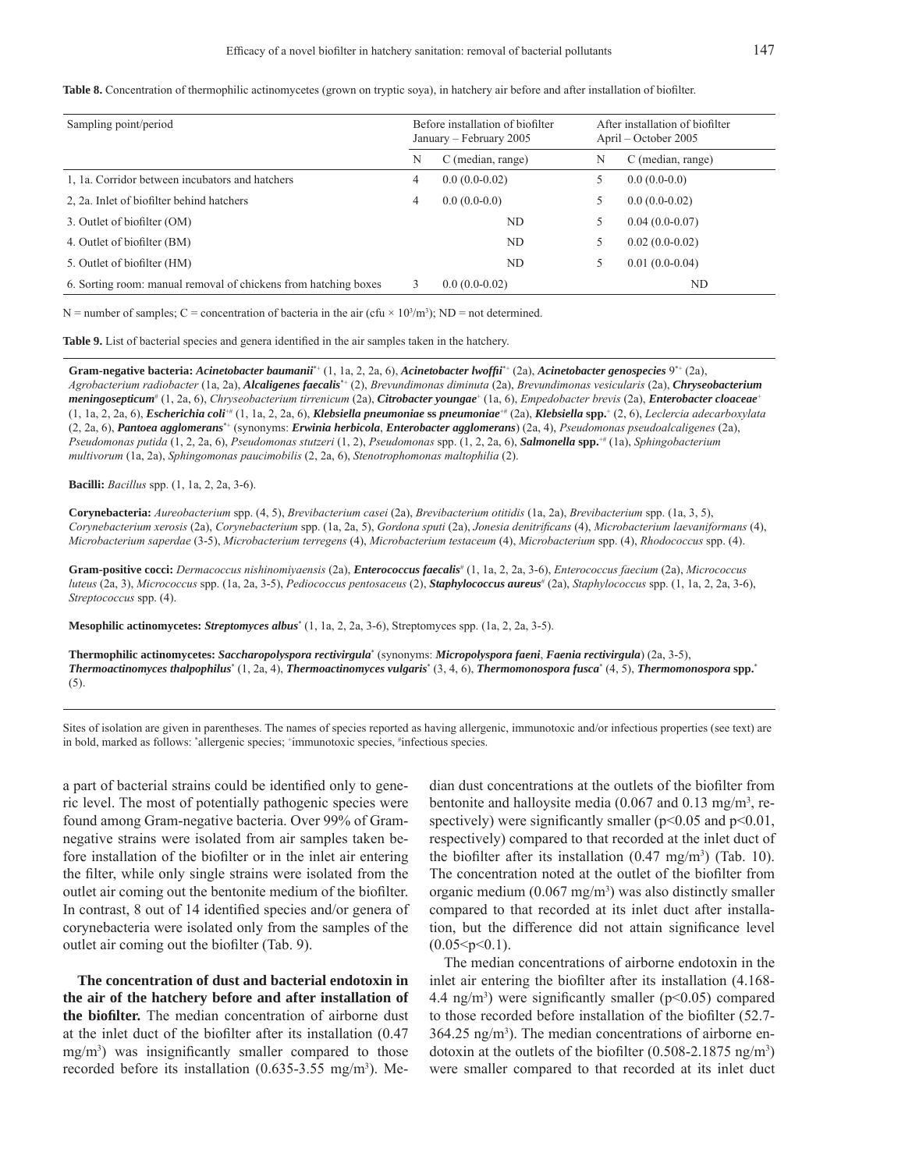Table 8. Concentration of thermophilic actinomycetes (grown on tryptic soya), in hatchery air before and after installation of biofilter.

| Sampling point/period                                           | Before installation of biofilter<br>January - February 2005 |                   | After installation of biofilter<br>April – October 2005 |                   |  |
|-----------------------------------------------------------------|-------------------------------------------------------------|-------------------|---------------------------------------------------------|-------------------|--|
|                                                                 | N                                                           | C (median, range) | N                                                       | C (median, range) |  |
| 1, 1a. Corridor between incubators and hatchers                 | 4                                                           | $0.0(0.0-0.02)$   |                                                         | $0.0(0.0-0.0)$    |  |
| 2, 2a. Inlet of biofilter behind hatchers                       | 4                                                           | $0.0(0.0-0.0)$    |                                                         | $0.0(0.0-0.02)$   |  |
| 3. Outlet of biofilter (OM)                                     |                                                             | ND                | 5                                                       | $0.04(0.0-0.07)$  |  |
| 4. Outlet of biofilter (BM)                                     |                                                             | ND.               | 5                                                       | $0.02(0.0-0.02)$  |  |
| 5. Outlet of biofilter (HM)                                     |                                                             | ND                | 5                                                       | $0.01(0.0-0.04)$  |  |
| 6. Sorting room: manual removal of chickens from hatching boxes |                                                             | $0.0(0.0-0.02)$   |                                                         | ND                |  |

N = number of samples; C = concentration of bacteria in the air (cfu  $\times$  10<sup>3</sup>/m<sup>3</sup>); ND = not determined.

**Table 9.** List of bacterial species and genera identified in the air samples taken in the hatchery.

**Gram-negative bacteria:** *Acinetobacter baumanii*\*+ (1, 1a, 2, 2a, 6), *Acinetobacter lwoffi i*\*+ (2a), *Acinetobacter genospecies* 9\*+ (2a), *Agrobacterium radiobacter* (1a, 2a), *Alcaligenes faecalis*\*+ (2), *Brevundimonas diminuta* (2a), *Brevundimonas vesicularis* (2a), *Chryseobacterium meningosepticum*# (1, 2a, 6), *Chryseobacterium tirrenicum* (2a), *Citrobacter youngae*<sup>+</sup> (1a, 6), *Empedobacter brevis* (2a), *Enterobacter cloaceae*<sup>+</sup> (1, 1a, 2, 2a, 6), *Escherichia coli*+# (1, 1a, 2, 2a, 6), *Klebsiella pneumoniae* **ss** *pneumoniae*+# (2a), *Klebsiella* **spp.**<sup>+</sup> (2, 6), *Leclercia adecarboxylata* (2, 2a, 6), *Pantoea agglomerans*\*+ (synonyms: *Erwinia herbicola*, *Enterobacter agglomerans*) (2a, 4), *Pseudomonas pseudoalcaligenes* (2a), *Pseudomonas putida* (1, 2, 2a, 6), *Pseudomonas stutzeri* (1, 2), *Pseudomonas* spp. (1, 2, 2a, 6), *Salmonella* **spp.**+# (1a), *Sphingobacterium multivorum* (1a, 2a), *Sphingomonas paucimobilis* (2, 2a, 6), *Stenotrophomonas maltophilia* (2).

**Bacilli:** *Bacillus* spp. (1, 1a, 2, 2a, 3-6).

**Corynebacteria:** *Aureobacterium* spp. (4, 5), *Brevibacterium casei* (2a), *Brevibacterium otitidis* (1a, 2a), *Brevibacterium* spp. (1a, 3, 5), *Corynebacterium xerosis* (2a), *Corynebacterium* spp. (1a, 2a, 5), *Gordona sputi* (2a), *Jonesia denitrificans* (4), *Microbacterium laevaniformans* (4), *Microbacterium saperdae* (3-5), *Microbacterium terregens* (4), *Microbacterium testaceum* (4), *Microbacterium* spp. (4), *Rhodococcus* spp. (4).

Gram-positive cocci: *Dermacoccus nishinomiyaensis* (2a), *Enterococcus faecalis<sup>#</sup>* (1, 1a, 2, 2a, 3-6), *Enterococcus faecium* (2a), *Micrococcus* luteus (2a, 3), *Micrococcus* spp. (1a, 2a, 3-5), *Pediococcus pentosaceus* (2), *Staphylococcus* aureus<sup>#</sup> (2a), *Staphylococcus* spp. (1, 1a, 2, 2a, 3-6), *Streptococcus* spp. (4).

**Mesophilic actinomycetes:** *Streptomyces albus*\* (1, 1a, 2, 2a, 3-6), Streptomyces spp. (1a, 2, 2a, 3-5).

**Thermophilic actinomycetes:** *Saccharopolyspora rectivirgula*\* (synonyms: *Micropolyspora faeni*, *Faenia rectivirgula*) (2a, 3-5), *Thermoactinomyces thalpophilus*\* (1, 2a, 4), *Thermoactinomyces vulgaris*\* (3, 4, 6), *Thermomonospora fusca*\* (4, 5), *Thermomonospora* **spp.**\* (5).

Sites of isolation are given in parentheses. The names of species reported as having allergenic, immunotoxic and/or infectious properties (see text) are in bold, marked as follows: \*allergenic species; \*immunotoxic species, \*infectious species.

a part of bacterial strains could be identified only to generic level. The most of potentially pathogenic species were found among Gram-negative bacteria. Over 99% of Gramnegative strains were isolated from air samples taken before installation of the biofilter or in the inlet air entering the filter, while only single strains were isolated from the outlet air coming out the bentonite medium of the biofilter. In contrast, 8 out of 14 identified species and/or genera of corynebacteria were isolated only from the samples of the outlet air coming out the biofilter (Tab. 9).

**The concentration of dust and bacterial endotoxin in the air of the hatchery before and after installation of the biofilter.** The median concentration of airborne dust at the inlet duct of the biofilter after its installation  $(0.47)$  $mg/m<sup>3</sup>$ ) was insignificantly smaller compared to those recorded before its installation  $(0.635-3.55 \text{ mg/m}^3)$ . Median dust concentrations at the outlets of the biofilter from bentonite and halloysite media  $(0.067 \text{ and } 0.13 \text{ mg/m}^3, \text{re-}$ spectively) were significantly smaller ( $p<0.05$  and  $p<0.01$ , respectively) compared to that recorded at the inlet duct of the biofilter after its installation  $(0.47 \text{ mg/m}^3)$  (Tab. 10). The concentration noted at the outlet of the biofilter from organic medium  $(0.067 \text{ mg/m}^3)$  was also distinctly smaller compared to that recorded at its inlet duct after installation, but the difference did not attain significance level  $(0.05 < p < 0.1)$ .

The median concentrations of airborne endotoxin in the inlet air entering the biofilter after its installation  $(4.168 -$ 4.4 ng/m<sup>3</sup>) were significantly smaller ( $p$ <0.05) compared to those recorded before installation of the biofilter (52.7- $364.25$  ng/m<sup>3</sup>). The median concentrations of airborne endotoxin at the outlets of the biofilter  $(0.508 - 2.1875 \text{ ng/m}^3)$ were smaller compared to that recorded at its inlet duct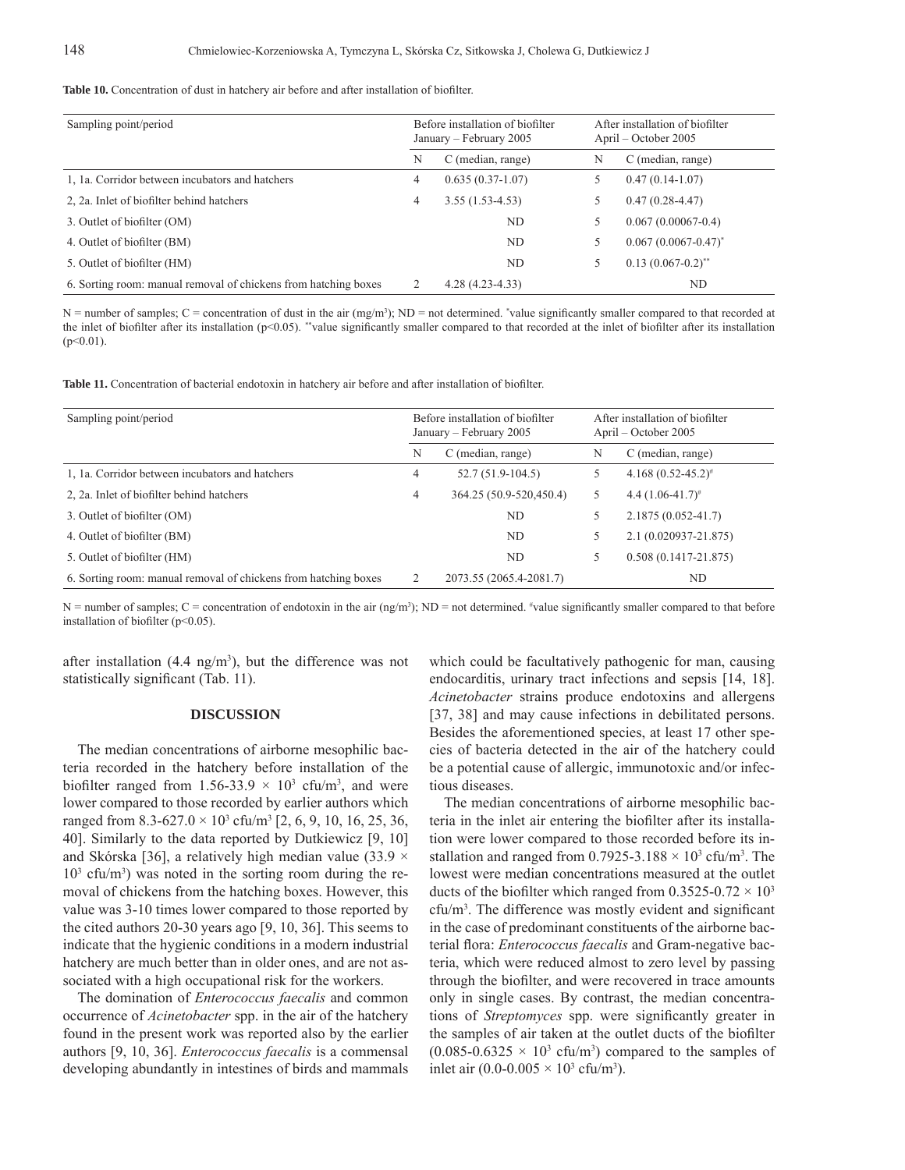Table 10. Concentration of dust in hatchery air before and after installation of biofilter.

| Sampling point/period                                           | Before installation of biofilter<br>January – February 2005 |                     |   | After installation of biofilter<br>April – October 2005 |
|-----------------------------------------------------------------|-------------------------------------------------------------|---------------------|---|---------------------------------------------------------|
|                                                                 | N                                                           | C (median, range)   | N | C (median, range)                                       |
| 1, 1a. Corridor between incubators and hatchers                 | 4                                                           | $0.635(0.37-1.07)$  | 5 | $0.47(0.14-1.07)$                                       |
| 2, 2a. Inlet of biofilter behind hatchers                       | 4                                                           | $3.55(1.53-4.53)$   | 5 | $0.47(0.28-4.47)$                                       |
| 3. Outlet of biofilter (OM)                                     |                                                             | ND                  | 5 | $0.067(0.00067-0.4)$                                    |
| 4. Outlet of biofilter (BM)                                     |                                                             | ND.                 | 5 | $0.067(0.0067 - 0.47)^{*}$                              |
| 5. Outlet of biofilter (HM)                                     |                                                             | ND                  | 5 | $0.13(0.067-0.2)^{**}$                                  |
| 6. Sorting room: manual removal of chickens from hatching boxes |                                                             | $4.28(4.23 - 4.33)$ |   | ND                                                      |

 $N =$  number of samples;  $C =$  concentration of dust in the air  $(mg/m<sup>3</sup>)$ ;  $ND =$  not determined. \*value significantly smaller compared to that recorded at the inlet of biofilter after its installation ( $p<0.05$ ). \*\*value significantly smaller compared to that recorded at the inlet of biofilter after its installation  $(p<0.01)$ .

Table 11. Concentration of bacterial endotoxin in hatchery air before and after installation of biofilter.

| Sampling point/period                                           | Before installation of biofilter<br>January – February 2005 |                         | After installation of biofilter<br>April – October 2005 |                          |  |
|-----------------------------------------------------------------|-------------------------------------------------------------|-------------------------|---------------------------------------------------------|--------------------------|--|
|                                                                 | N                                                           | C (median, range)       | N                                                       | C (median, range)        |  |
| 1, 1a. Corridor between incubators and hatchers                 | 4                                                           | $52.7(51.9-104.5)$      | 5                                                       | $4.168(0.52 - 45.2)^{*}$ |  |
| 2, 2a. Inlet of biofilter behind hatchers                       | 4                                                           | 364.25 (50.9-520,450.4) | 5                                                       | 4.4 $(1.06 - 41.7)^*$    |  |
| 3. Outlet of biofilter (OM)                                     |                                                             | ND                      | 5                                                       | $2.1875(0.052 - 41.7)$   |  |
| 4. Outlet of biofilter (BM)                                     |                                                             | ND.                     |                                                         | 2.1 (0.020937-21.875)    |  |
| 5. Outlet of biofilter (HM)                                     |                                                             | ND.                     | 5                                                       | $0.508(0.1417 - 21.875)$ |  |
| 6. Sorting room: manual removal of chickens from hatching boxes |                                                             | 2073.55 (2065.4-2081.7) |                                                         | ND                       |  |

 $N =$  number of samples;  $C =$  concentration of endotoxin in the air (ng/m<sup>3</sup>);  $ND =$  not determined. #value significantly smaller compared to that before installation of biofilter ( $p<0.05$ ).

after installation  $(4.4 \text{ ng/m}^3)$ , but the difference was not statistically significant (Tab. 11).

#### **DISCUSSION**

The median concentrations of airborne mesophilic bacteria recorded in the hatchery before installation of the biofilter ranged from 1.56-33.9  $\times$  10<sup>3</sup> cfu/m<sup>3</sup>, and were lower compared to those recorded by earlier authors which ranged from 8.3-627.0  $\times$  10<sup>3</sup> cfu/m<sup>3</sup> [2, 6, 9, 10, 16, 25, 36, 40]. Similarly to the data reported by Dutkiewicz [9, 10] and Skórska [36], a relatively high median value (33.9  $\times$  $10<sup>3</sup>$  cfu/m<sup>3</sup>) was noted in the sorting room during the removal of chickens from the hatching boxes. However, this value was 3-10 times lower compared to those reported by the cited authors 20-30 years ago [9, 10, 36]. This seems to indicate that the hygienic conditions in a modern industrial hatchery are much better than in older ones, and are not associated with a high occupational risk for the workers.

The domination of *Enterococcus faecalis* and common occurrence of *Acinetobacter* spp. in the air of the hatchery found in the present work was reported also by the earlier authors [9, 10, 36]. *Enterococcus faecalis* is a commensal developing abundantly in intestines of birds and mammals

which could be facultatively pathogenic for man, causing endocarditis, urinary tract infections and sepsis [14, 18]. *Acinetobacter* strains produce endotoxins and allergens [37, 38] and may cause infections in debilitated persons. Besides the aforementioned species, at least 17 other species of bacteria detected in the air of the hatchery could be a potential cause of allergic, immunotoxic and/or infectious diseases.

The median concentrations of airborne mesophilic bacteria in the inlet air entering the biofilter after its installation were lower compared to those recorded before its installation and ranged from 0.7925-3.188  $\times$  10<sup>3</sup> cfu/m<sup>3</sup>. The lowest were median concentrations measured at the outlet ducts of the biofilter which ranged from  $0.3525 - 0.72 \times 10^3$  $cfu/m<sup>3</sup>$ . The difference was mostly evident and significant in the case of predominant constituents of the airborne bacterial flora: *Enterococcus faecalis* and Gram-negative bacteria, which were reduced almost to zero level by passing through the biofilter, and were recovered in trace amounts only in single cases. By contrast, the median concentrations of *Streptomyces* spp. were significantly greater in the samples of air taken at the outlet ducts of the biofilter  $(0.085-0.6325 \times 10^3 \text{ cftu/m}^3)$  compared to the samples of inlet air  $(0.0 - 0.005 \times 10^3 \text{ cfta/m}^3)$ .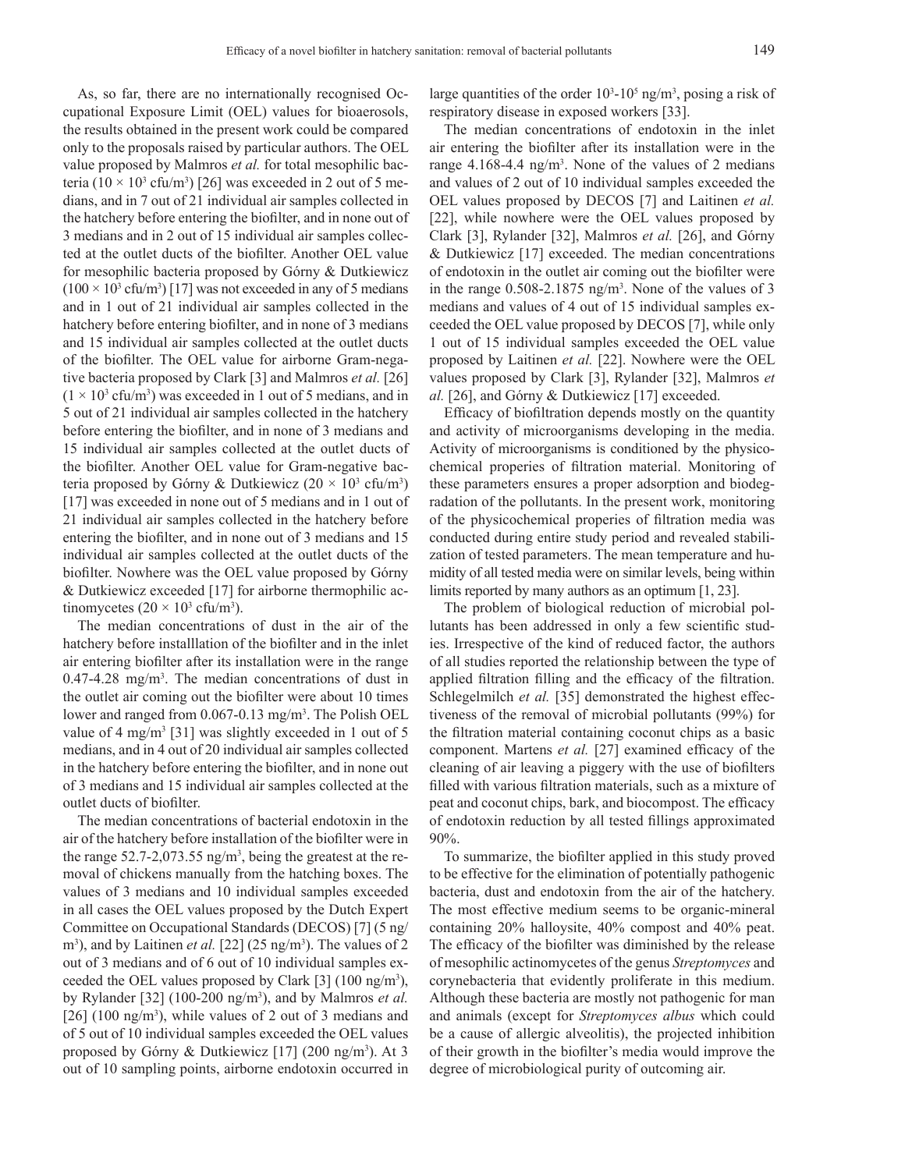As, so far, there are no internationally recognised Occupational Exposure Limit (OEL) values for bioaerosols, the results obtained in the present work could be compared only to the proposals raised by particular authors. The OEL value proposed by Malmros *et al.* for total mesophilic bacteria (10  $\times$  10<sup>3</sup> cfu/m<sup>3</sup>) [26] was exceeded in 2 out of 5 medians, and in 7 out of 21 individual air samples collected in the hatchery before entering the biofilter, and in none out of 3 medians and in 2 out of 15 individual air samples collected at the outlet ducts of the biofilter. Another OEL value for mesophilic bacteria proposed by Górny & Dutkiewicz  $(100 \times 10^3 \text{ cftu/m}^3)$  [17] was not exceeded in any of 5 medians and in 1 out of 21 individual air samples collected in the hatchery before entering biofilter, and in none of 3 medians and 15 individual air samples collected at the outlet ducts of the biofilter. The OEL value for airborne Gram-negative bacteria proposed by Clark [3] and Malmros *et al.* [26]  $(1 \times 10^3 \text{ cftu/m}^3)$  was exceeded in 1 out of 5 medians, and in 5 out of 21 individual air samples collected in the hatchery before entering the biofilter, and in none of 3 medians and 15 individual air samples collected at the outlet ducts of the biofilter. Another OEL value for Gram-negative bacteria proposed by Górny & Dutkiewicz  $(20 \times 10^3 \text{ cftm}^3)$ [17] was exceeded in none out of 5 medians and in 1 out of 21 individual air samples collected in the hatchery before entering the biofilter, and in none out of 3 medians and 15 individual air samples collected at the outlet ducts of the biofilter. Nowhere was the OEL value proposed by Górny & Dutkiewicz exceeded [17] for airborne thermophilic actinomycetes  $(20 \times 10^3 \text{ cfts/m}^3)$ .

The median concentrations of dust in the air of the hatchery before installlation of the biofilter and in the inlet air entering biofilter after its installation were in the range  $0.47 - 4.28$  mg/m<sup>3</sup>. The median concentrations of dust in the outlet air coming out the biofilter were about 10 times lower and ranged from 0.067-0.13 mg/m<sup>3</sup>. The Polish OEL value of 4 mg/m<sup>3</sup> [31] was slightly exceeded in 1 out of 5 medians, and in 4 out of 20 individual air samples collected in the hatchery before entering the biofilter, and in none out of 3 medians and 15 individual air samples collected at the outlet ducts of biofilter.

The median concentrations of bacterial endotoxin in the air of the hatchery before installation of the biofilter were in the range  $52.7 - 2.073.55$  ng/m<sup>3</sup>, being the greatest at the removal of chickens manually from the hatching boxes. The values of 3 medians and 10 individual samples exceeded in all cases the OEL values proposed by the Dutch Expert Committee on Occupational Standards (DECOS) [7] (5 ng/ m<sup>3</sup>), and by Laitinen *et al.* [22]  $(25 \text{ ng/m}^3)$ . The values of 2 out of 3 medians and of 6 out of 10 individual samples exceeded the OEL values proposed by Clark  $[3]$  (100 ng/m<sup>3</sup>), by Rylander [32] (100-200 ng/m3 ), and by Malmros *et al.* [ $26$ ] (100 ng/m<sup>3</sup>), while values of 2 out of 3 medians and of 5 out of 10 individual samples exceeded the OEL values proposed by Górny & Dutkiewicz  $[17]$  (200 ng/m<sup>3</sup>). At 3 out of 10 sampling points, airborne endotoxin occurred in

large quantities of the order  $10^3$ - $10^5$  ng/m<sup>3</sup>, posing a risk of respiratory disease in exposed workers [33].

The median concentrations of endotoxin in the inlet air entering the biofilter after its installation were in the range  $4.168 - 4.4$  ng/m<sup>3</sup>. None of the values of 2 medians and values of 2 out of 10 individual samples exceeded the OEL values proposed by DECOS [7] and Laitinen *et al.* [22], while nowhere were the OEL values proposed by Clark [3], Rylander [32], Malmros *et al.* [26], and Górny & Dutkiewicz [17] exceeded. The median concentrations of endotoxin in the outlet air coming out the biofilter were in the range  $0.508 - 2.1875$  ng/m<sup>3</sup>. None of the values of 3 medians and values of 4 out of 15 individual samples exceeded the OEL value proposed by DECOS [7], while only 1 out of 15 individual samples exceeded the OEL value proposed by Laitinen *et al.* [22]. Nowhere were the OEL values proposed by Clark [3], Rylander [32], Malmros *et al.* [26], and Górny & Dutkiewicz [17] exceeded.

Efficacy of biofiltration depends mostly on the quantity and activity of microorganisms developing in the media. Activity of microorganisms is conditioned by the physicochemical properies of filtration material. Monitoring of these parameters ensures a proper adsorption and biodegradation of the pollutants. In the present work, monitoring of the physicochemical properies of filtration media was conducted during entire study period and revealed stabilization of tested parameters. The mean temperature and humidity of all tested media were on similar levels, being within limits reported by many authors as an optimum [1, 23].

The problem of biological reduction of microbial pollutants has been addressed in only a few scientific studies. Irrespective of the kind of reduced factor, the authors of all studies reported the relationship between the type of applied filtration filling and the efficacy of the filtration. Schlegelmilch *et al.* [35] demonstrated the highest effectiveness of the removal of microbial pollutants (99%) for the filtration material containing coconut chips as a basic component. Martens *et al.* [27] examined efficacy of the cleaning of air leaving a piggery with the use of biofilters filled with various filtration materials, such as a mixture of peat and coconut chips, bark, and biocompost. The efficacy of endotoxin reduction by all tested fillings approximated 90%.

To summarize, the biofilter applied in this study proved to be effective for the elimination of potentially pathogenic bacteria, dust and endotoxin from the air of the hatchery. The most effective medium seems to be organic-mineral containing 20% halloysite, 40% compost and 40% peat. The efficacy of the biofilter was diminished by the release of mesophilic actinomycetes of the genus *Streptomyces* and corynebacteria that evidently proliferate in this medium. Although these bacteria are mostly not pathogenic for man and animals (except for *Streptomyces albus* which could be a cause of allergic alveolitis), the projected inhibition of their growth in the biofilter's media would improve the degree of microbiological purity of outcoming air.